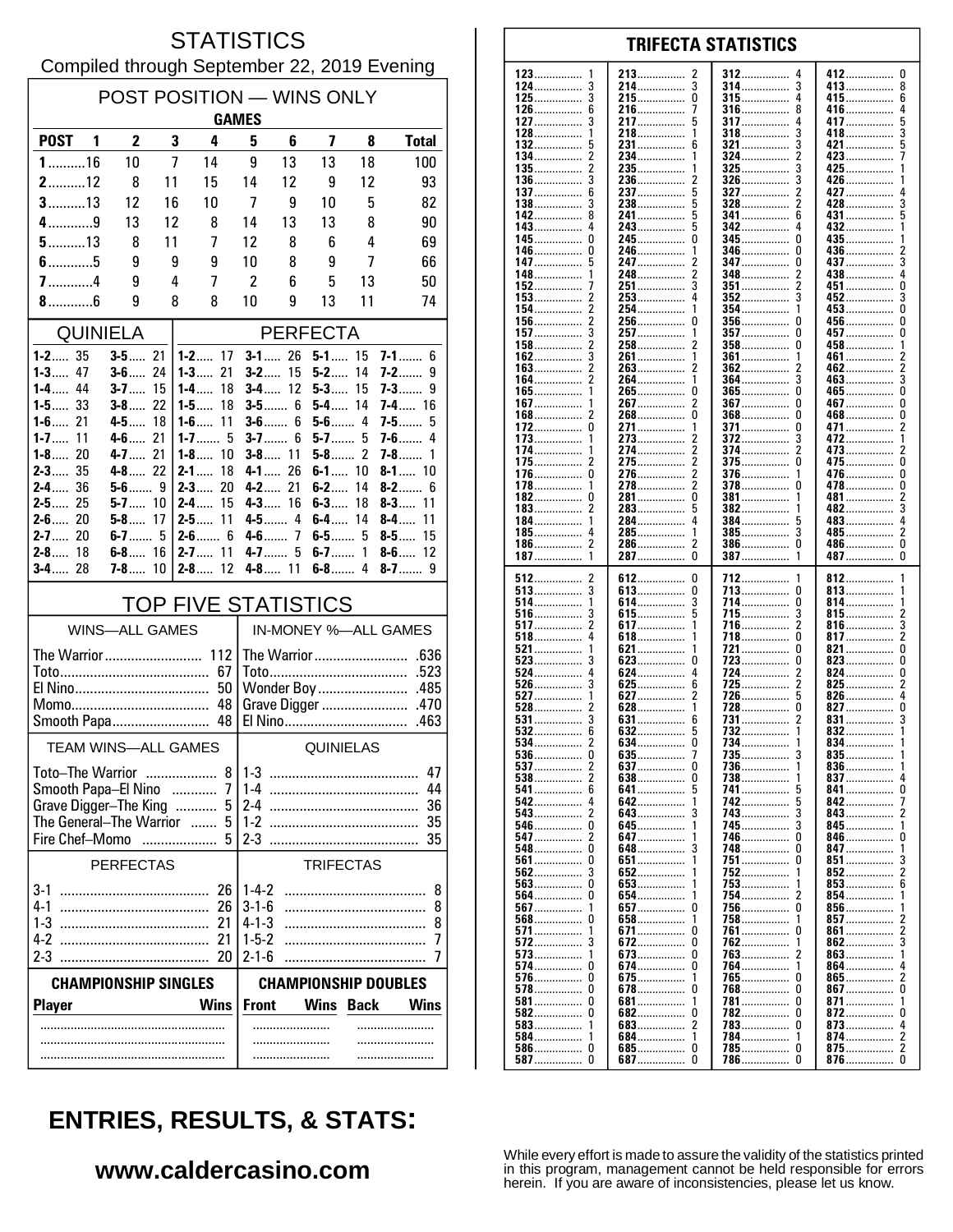#### **STATISTICS** Compiled through September 22, 2019 Evening

| POST POSITION - WINS ONLY                 |                          |        |                                |                      |                             |                      |             |                              |  |
|-------------------------------------------|--------------------------|--------|--------------------------------|----------------------|-----------------------------|----------------------|-------------|------------------------------|--|
| <b>GAMES</b>                              |                          |        |                                |                      |                             |                      |             |                              |  |
| POST <sub>1</sub>                         | $\overline{2}$           | 3      | 4                              | 5                    | 6                           | 7                    | 8           | <b>Total</b>                 |  |
| $1$ 16                                    | 10                       | 7      | 14                             | 9                    | 13                          | 13                   | 18          | 100                          |  |
| $2$ 12                                    | 8                        | 11     | 15                             | 14                   | 12                          | 9                    | 12          | 93                           |  |
| $3$ 13                                    | 12                       | 16     | 10                             | 7                    | 9                           | 10                   | 5           | 82                           |  |
| $4$ 9                                     | 13                       | 12     | 8                              | 14                   | 13                          | 13                   | 8           | 90                           |  |
| $5$ 13                                    | 8                        | 11     | 7                              | 12                   | 8                           | 6                    | 4           | 69                           |  |
| $6$ 5<br>$7$ 4                            | 9<br>9                   | 9<br>4 | 9<br>7                         | 10<br>2              | 8<br>6                      | 9<br>5               | 7<br>13     | 66<br>50                     |  |
| $8$ 6                                     | 9                        | 8      | 8                              | 10                   | 9                           | 13                   | 11          | 74                           |  |
|                                           |                          |        |                                |                      |                             |                      |             |                              |  |
| QUINIELA                                  |                          |        |                                |                      |                             | <b>PERFECTA</b>      |             |                              |  |
| $1 - 2$ 35<br>$1 - 3$ 47                  | $3 - 5$ 21<br>$3 - 6$ 24 |        | $1 - 2$ 17<br>$1 - 3$<br>21    | $3 - 2$              | $3 - 1$ 26<br>15            | $5-1$ 15<br>$5-2$    | 14          | $7 - 1$ 6<br>7-2……<br>9      |  |
| $1 - 4$ 44                                | $3 - 7$                  | -15    | 18<br>$1 - 4$                  |                      | $3 - 4$ 12                  | $5-3$                | 15          | 7-3…….<br>9                  |  |
| $1 - 5$ 33                                | $3 - 8$ 22               |        | 18<br>$1 - 5$                  |                      | $3 - 5$ 6                   | $5-4$                | 14          | $7 - 4$ 16                   |  |
| $1 - 6$ 21<br>1-7……<br>11                 | $4 - 5$<br><b>4-6</b> 21 | 18     | $1 - 6$<br>11<br>$1 - 7$ 5     |                      | $3 - 6$ 6<br>$3 - 7$ 6      | $5-6$ 4<br>$5 - 7$ 5 |             | 7-5……<br>5<br>7-6……<br>4     |  |
| $1 - 8$ 20                                | 4-7  . 21                |        | $1 - 8$<br>10                  |                      | $3 - 8$ 11                  | $5 - 8$ 2            |             | 7-8……<br>1                   |  |
| $2 - 3$ 35                                | $4 - 8$ 22               |        | $2 - 1$<br>18                  | $4 - 1$              | 26                          | $6-1$ 10             |             | $8 - 1$ 10                   |  |
| 2-4 36                                    | $5-6$ 9                  |        | $2 - 3$<br>20                  |                      | 4-2 21                      | $6-2$                | 14          | $8-2$<br>6                   |  |
| $2 - 5$ 25<br>$2 - 6$ 20                  | $5 - 7$ 10<br>$5 - 8$ 17 |        | $2 - 4$<br>15<br>$2 - 5$<br>11 |                      | $4 - 3$ 16<br>$4 - 5$ 4     | $6-3$<br>$6-4$       | 18<br>14    | $8 - 3$<br>11<br>$8-4$<br>11 |  |
| $2 - 7$ 20                                | $6 - 7$ 5                |        | $2-6$ 6                        |                      | $4-6$ 7                     | $6 - 5$ 5            |             | 15<br>$8-5$                  |  |
| $2 - 8$ 18                                | $6 - 8$ 16               |        | $2 - 7$ 11                     | $4 - 7$              | 5                           | $6 - 7$ 1            |             | $8-6$<br>12                  |  |
| $3 - 4$ 28                                | $7 - 8$ 10               |        | $2 - 8$ 12                     |                      | $4 - 8$ 11                  |                      |             | $8 - 7$ 9                    |  |
|                                           |                          |        | <b>TOP FIVE STATISTICS</b>     |                      |                             |                      |             |                              |  |
|                                           | <b>WINS-ALL GAMES</b>    |        |                                | IN-MONEY %-ALL GAMES |                             |                      |             |                              |  |
|                                           |                          |        |                                |                      |                             |                      |             |                              |  |
|                                           |                          |        | 67                             |                      |                             |                      |             |                              |  |
|                                           |                          |        | 50                             |                      |                             |                      |             |                              |  |
| Smooth Papa 48                            |                          |        |                                |                      |                             |                      |             |                              |  |
| <b>TEAM WINS-ALL GAMES</b>                |                          |        |                                | QUINIELAS            |                             |                      |             |                              |  |
| Toto-The Warrior                          |                          |        | 8                              | $1 - 3$<br>47        |                             |                      |             |                              |  |
| Smooth Papa-El Nino                       |                          |        | 7                              | $1-4$<br>44          |                             |                      |             |                              |  |
| Grave Digger-The King<br>5                |                          |        | 24<br>36                       |                      |                             |                      |             |                              |  |
| The General-The Warrior<br>Fire Chef-Momo |                          | .      | 5                              | $1-2$<br>$2-3$       |                             |                      |             | 35<br>35                     |  |
|                                           | <b>PERFECTAS</b>         |        |                                |                      |                             | <b>TRIFECTAS</b>     |             |                              |  |
|                                           |                          |        |                                | $1 - 4 - 2$          |                             |                      |             |                              |  |
| 3-1<br>$4-1$                              |                          |        | 26<br>26                       | $3 - 1 - 6$          |                             |                      |             | 8<br>8                       |  |
| $1-3$                                     |                          |        | 21                             | $4 - 1 - 3$          |                             |                      |             | 8                            |  |
| 4-2                                       |                          |        | 21                             | $1 - 5 - 2$          |                             |                      |             | 7                            |  |
| $2-3$                                     |                          |        | 20                             | $2 - 1 - 6$          |                             |                      |             | 7                            |  |
| <b>CHAMPIONSHIP SINGLES</b>               |                          |        |                                |                      | <b>CHAMPIONSHIP DOUBLES</b> |                      |             |                              |  |
| <b>Player</b>                             |                          |        | <b>Wins</b>                    | <b>Front</b>         |                             | Wins                 | <b>Back</b> | Wins                         |  |
|                                           |                          |        |                                |                      |                             |                      |             |                              |  |
|                                           |                          |        |                                |                      |                             |                      |             |                              |  |

#### **TRIFECTA STATISTICS** 123 213 412  $\mathbf{0}$ 2 312 124 3 214.  $\overline{3}$ 314  $\overline{3}$ 413 8 . . . . . . . . . . . . . . . . . . . . . . . . . . . . . . . . . . . . . . . . . . . . 3  $\pmb{0}$  $\overline{4}$  $\boldsymbol{6}$ 125 215 315 415. . . . . . . . . . . . . . . . . . . . . . . . . . . . . . . . . . . . . . . . . . . . . . . . ......... 126 6 216  $\overline{1}$ 316 8 416 4 .............. . . . . . . . . . . . . . . .  $\overline{4}$ 127 3 217 5 317 417 5 . . . . . . . . . . . . . . . . . . . . . . . . . . . . . . . . . . . . . 128 218 1 318 3 418 3 1 3 132 231................ 321  $421$ 5 6 134  $\overline{2}$  $\overline{\phantom{a}}$ 234. 324 423 . . . . . . . . . . . . . . . 135 235. 325 3 425 . . . . . . . . . . . . . . . 136 3 236 326 3 426  $\overline{c}$ . . . . . . . . . . . . . . . . . . . . . . . . . . . . . . . . . . . . . . . . . . . . . 137 6 237 5 327 2 427 . . . . . . . . . . . . . . 138 3 238 5 328 2 428 3 142  $\mathbf{a}$ 241................ 5 341 6 431  $143.$ 5  $342$  $432$ .....  $\overline{a}$ . . . . . . . . . . . . . . . Ō  $345$  $\mathbf{0}$ 245  $\mathbf{0}$ 435 145 346 0 0 146 246  $\frac{1}{2}$ 436 . . . . . . . . . . . . . . . . . . . . . . . . . . . . . . . . . . . . . . . . . 147 5 247 347  $\Omega$ 437 3 . . . . . . . . . . . . . . . . . . . . . . . . . . . . . . . . . . . . . . . . . . 148 248  $\overline{c}$ 348 438 4 2 . . . . . . . . . . . . . . . .............. 152 251 3 351 2 451 0 . . . . . . . . . . . . . . . . . . . . . . . 153  $\overline{2}$ 253  $\overline{4}$ 352 3 452 3  $\overline{2}$ ň 154 254  $453...$ 1 354 1  $\overline{2}$ 156.  $\mathbf 0$  $\mathbf 0$ 256 356  $\Omega$  $456...$ ŏ 157 3 257. 357 457 . . . . . . . . . . . . . . . . . . . . . . . . . . . .  $\overline{c}$ 2 458 158 258 358  $\Omega$ . . . . . . . . . . . . . . . .............. . . . . . . . . . . . . . . . . 162 3 261 361 461 1 . . . . . . . . . . . . . . . . . . . . . . . . . . . . . 163  $\frac{2}{2}$ 263 2 362 462  $\frac{2}{3}$ . . . . . . . . . . . . . . . . . . . . . . . . . 164 264 364 3 1 463. 265................. 165.................  $\dot{0}$ ñ  $465$ ñ 1  $\overline{2}$  $\mathbf{0}$  $\mathbf 0$ 267 367  $467...$ 167 . . . . . . . . . . . . . . . . . . . . . . .  $\overline{0}$ Ō Ō 168  $\overline{2}$ 268 368 468 . . . . . . . . . . . . . . . . . . . . . . . . . . . . . . . . . . . . . . . . . . . . 172  $\mathbf 0$ 271. 371................ 0 471....  $\boldsymbol{2}$ 1 . . . . . . . . . . . . . . . 372 273 173 3 472 . . . . . . . . . . . . . . . . . . . . . . . . . . . . . . . . . . . . . . . . . . . . . 174 274  $\boldsymbol{2}$ 374 2 473  $\frac{2}{0}$ ............. . . . . . . . . . . . . . . . . . . . . . . . . . . . . .  $\overline{2}$ 175 2 275 375 <sup>0</sup> 475 . . . . . . . . . . . . . . . . . . . . . . . . . . .  $\mathbf{0}$  $\Omega$  $\overline{\phantom{a}}$ 376 176 276. 1 476.  $\overline{2}$ ŏ 278................  $\Omega$ 478 178. 378 182  $\Omega$ 281.................  $\pmb{0}$ 381 481 . . . . . . . . . . . . . . . . . . . . . . . . . . . . . 3 183 283 5 382 482 . . . . . . . . . . . . . . . . . . . . . . . . . . . . . . . . . . . . . . . . . . . . 184 284 4 384 483 4 . . . . . . . . . . . . . . . ............... . . . . . . . . . . . . . . . 185 285  $\mathbf{1}$ 385 3 485  $\overline{2}$ 4 . . . . . . . . . . . . . . . . . . . . . . . . . . . . . . . . . . . . . . . . . . . . . . . . . . . . . . . . 186  $\overline{\phantom{a}}$ 286.  $\overline{\phantom{a}}$ 386  $\Omega$ 486................  $\Omega$ . . . . . . . . . . . . . . . . . . . . . . . . . . . . . . . . . . . . . . . . . . . .  $\overline{0}$  $\tilde{0}$ 287................ 187  $\overline{1}$  $\mathbf{1}$ 512  $\boldsymbol{2}$ 612  $\pmb{0}$ 712 812 . . . . . . . . . . . . . 513 3  $\pmb{0}$ 713 813 . . . . . . . . . . . . . . . . . . . . . . . . . . . . . . . . . . . . . . . . . . . . . . . . 514 1 614 3 714 0 814 . . . . . . . . . . . . . . . . . . . . . . . . . . . . . . . . . . . . . . . . . . . . 516 3 615 -5 715 3 815  $\frac{2}{3}$ . . . . . . . . . . . . . . . . . . . . . . . . . . . . . . . . . . . . . .  $\frac{5}{2}$  $\bar{z}$ 517 617... 1 716. 816.  $518$  $\overline{4}$  $\theta$  $618$ ................ 718  $817...$ . . . . . . . . . . . . . . . . . . . . . . . . . . . . . .  $521$ ō 0 821 621 721 . . . . . . . . . . . . . . . . . . . .  $823$ 523 3 623  $\mathbf 0$ 723  $\theta$  $\pmb{0}$ . . . . . . . . . . . . . . . . . . . . . . . . . . . . . . . . . . . . . . . . . . . . . . 524 4 624  $\overline{4}$ 724 2 824  $\Omega$ . . . . . . . . . . . . . . . . . . . . . . . . . . . . . . . . . . . . . . . . . .  $725.726$ 526 3 625  $6\overline{6}$ 2 825  $\overline{2}$ . . . . . . . . . . . . . . 627 5 527  $\mathbf{1}$ 2 826 528  $\dot{2}$  $628$ .................  $728$ ................. Ō Ó  $827$  $\overline{3}$ 531 631 731 831 6 . . . . . . . . . . . . . . . . . . . . . . . . . . . . . . 532  $\overline{5}$ 6 632  $832...$ . . . . . . . . . . . . . . . . . . . . . . . . . . . . . . 734 534  $\overline{2}$ 634. 0 834..... ............... . . . . . . . . . . . . . . .  $\frac{0}{2}$ 635 735 536 835 . . . . . . . . . . . . . . . . . . . . . . . . . . . . . . . . . . . . . . . . . . . . . . . . . . . . . . . . . . .  $\dot{0}$ 537 637 736  $\mathbf{1}$ 836  $\overline{2}$ 738 837 538 638 0 . . . . . . . . . . . . . . . . . . . . 541 6  $641...$ 5 741 5 841 0 742................ 542 642. 5 842  $\overline{4}$ 1 543  $\overline{\mathbf{c}}$ 3 743 3 643 843 . . . . . . . . . . . . . 546  $\mathbf 0$ 645. 745 3 845 . . . . . . . . . . . . . . . . . . . . . . . . . . . . . . . . . . . . . . . . . . . . . 547  $\overline{\phantom{a}}$ 647 746  $\Omega$ 846  $\Omega$ . . . . . . . . . . . . . . . . . . . . . . . . . . . . . . . . . . . . . . . . . . . . 548  $\Omega$ 648 3 748  $\Omega$ 847 . . . . . . . . . . . . . . . . . . . . . . . . . . . . 561  $\Omega$ 651 751  $\Omega$ 851 852  $\overline{\phantom{a}}$ 562  $\mathbf{3}$ 652 752 1 563. Ō 653. 753  $853$ . . . . . . . . . . . . . . . . . . . . . . . . . . . . . . 564 Ō 654 754 854 . . . . . . . . . . . . . . . . . . . . . . . . . . . 856....... 567 657  $\overline{0}$ 756 n . . . . . . . . . . . . . . . . . . . . . . . . . . . . . . . . . . . . . . . . . . . . . . 568  $\mathbf 0$ 658 1 758 1 857 . . . . . . . . . . . . . . . . . . . . . . . . . . 571 671  $\mathbf 0$ 761 <sup>0</sup> 861  $\overline{2}$ . . . . . . . . . . . . . . . . . . . . . . . . . . . . . . 572 3 672 0 762 862 3 . . . . . . . . . . . . . . . . . . . . . . . . . 573  $\mathbf{1}$ 673  $\Omega$ 763 863 574 0 674.  $\mathbf 0$ 764 864 576 ................0 675 765  $\Omega$ 865.  $\sqrt{2}$ . . . . . . . . . . . . . -1 578  $\Omega$ 678  $\mathbf 0$ 768  $\theta$ 867  $\mathbf 0$ . . . . . . . . . . . . . . . . . . . . . . . . . . . . . .  $581$ ................  $\pmb{0}$ 681 781  $\theta$ 871 . . . . . . . . . . . . . . . . . . . . . . . . . . . . . . . . . . . . . . . . . . . . . . . 582  $\Omega$ 682  $\Omega$ 782  $\Omega$ 872  $\Omega$ . . . . . . . . . . . . . . . . . . . . . . . . . . . . 583  $\mathbf{1}$ 683  $\overline{\phantom{a}}$ 783  $\Omega$ 873  $\frac{4}{2}$ . . . . . . . . . . . . . . . . . . . . . . . . . . . . . . . . . . . . . . . . . 584................ 684................ 784.  $874...$  $\mathbf{1}$  $\mathbf{1}$ 1

# **ENTRIES, RESULTS, & STATS:**

### www.caldercasino.com

While every effort is made to assure the validity of the statistics printed in this program, management cannot be held responsible for errors herein. If you are aware of inconsistencies, please let us know.

 $\overline{2}$ 

 $\overline{0}$ 

875................

876................

685................

687.

 $\mathbf 0$ 

 $\Omega$ 

 $785$ ................

786

 $\Omega$ 

 $\Omega$ 

586...............

587

 $\mathbf 0$ 

 $\pmb{0}$